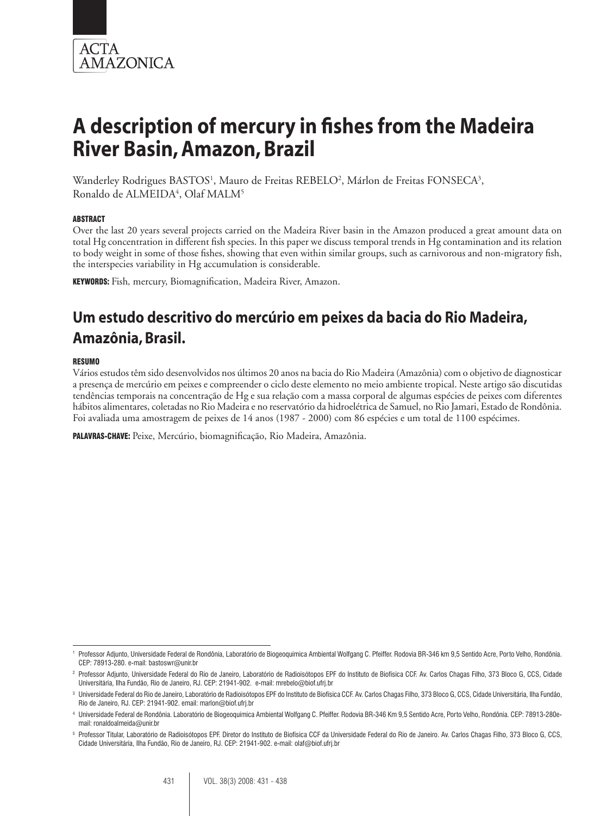

Wanderley Rodrigues BASTOS<sup>1</sup>, Mauro de Freitas REBELO<sup>2</sup>, Márlon de Freitas FONSECA<sup>3</sup>, Ronaldo de ALMEIDA<sup>4</sup>, Olaf MALM<sup>5</sup>

#### **ABSTRACT**

Over the last 20 years several projects carried on the Madeira River basin in the Amazon produced a great amount data on total Hg concentration in different fish species. In this paper we discuss temporal trends in Hg contamination and its relation to body weight in some of those fishes, showing that even within similar groups, such as carnivorous and non-migratory fish, the interspecies variability in Hg accumulation is considerable.

Keywords: Fish*,* mercury, Biomagnification, Madeira River, Amazon.

# **Um estudo descritivo do mercúrio em peixes da bacia do Rio Madeira, Amazônia, Brasil.**

#### RESUMO

Vários estudos têm sido desenvolvidos nos últimos 20 anos na bacia do Rio Madeira (Amazônia) com o objetivo de diagnosticar a presença de mercúrio em peixes e compreender o ciclo deste elemento no meio ambiente tropical. Neste artigo são discutidas tendências temporais na concentração de Hg e sua relação com a massa corporal de algumas espécies de peixes com diferentes hábitos alimentares, coletadas no Rio Madeira e no reservatório da hidroelétrica de Samuel, no Rio Jamari, Estado de Rondônia. Foi avaliada uma amostragem de peixes de 14 anos (1987 - 2000) com 86 espécies e um total de 1100 espécimes.

PALAVRAS-CHAVE: Peixe, Mercúrio, biomagnificação, Rio Madeira, Amazônia.

<sup>1</sup> Professor Adjunto, Universidade Federal de Rondônia, Laboratório de Biogeoquímica Ambiental Wolfgang C. Pfeiffer. Rodovia BR-346 km 9,5 Sentido Acre, Porto Velho, Rondônia. CEP: 78913-280. e-mail: bastoswr@unir.br

<sup>2</sup> Professor Adjunto, Universidade Federal do Rio de Janeiro, Laboratório de Radioisótopos EPF do Instituto de Biofísica CCF. Av. Carlos Chagas Filho, 373 Bloco G, CCS, Cidade Universitária, Ilha Fundão, Rio de Janeiro, RJ. CEP: 21941-902. e-mail: mrebelo@biof.ufrj.br

<sup>&</sup>lt;sup>3</sup> Universidade Federal do Rio de Janeiro, Laboratório de Radioisótopos EPF do Instituto de Biofísica CCF. Av. Carlos Chagas Filho, 373 Bloco G, CCS, Cidade Universitária, Ilha Fundão, Rio de Janeiro, RJ. CEP: 21941-902. email: marlon@biof.ufrj.br

<sup>4</sup> Universidade Federal de Rondônia. Laboratório de Biogeoquímica Ambiental Wolfgang C. Pfeiffer. Rodovia BR-346 Km 9,5 Sentido Acre, Porto Velho, Rondônia. CEP: 78913-280email: ronaldoalmeida@unir.br

<sup>5</sup> Professor Titular, Laboratório de Radioisótopos EPF. Diretor do Instituto de Biofísica CCF da Universidade Federal do Rio de Janeiro. Av. Carlos Chagas Filho, 373 Bloco G, CCS, Cidade Universitária, Ilha Fundão, Rio de Janeiro, RJ. CEP: 21941-902. e-mail: olaf@biof.ufrj.br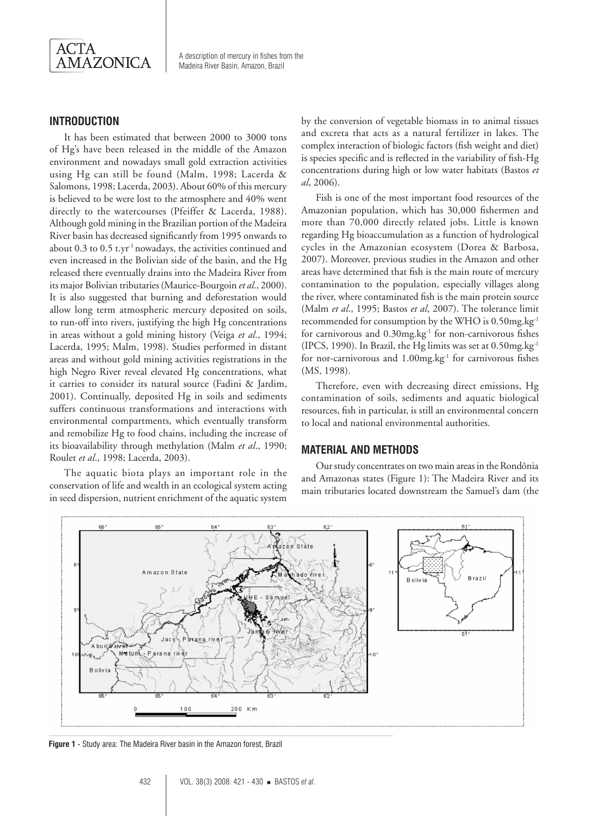

# **Introduction**

It has been estimated that between 2000 to 3000 tons of Hg's have been released in the middle of the Amazon environment and nowadays small gold extraction activities using Hg can still be found (Malm, 1998; Lacerda & Salomons, 1998; Lacerda, 2003). About 60% of this mercury is believed to be were lost to the atmosphere and 40% went directly to the watercourses (Pfeiffer & Lacerda, 1988). Although gold mining in the Brazilian portion of the Madeira River basin has decreased significantly from 1995 onwards to about 0.3 to 0.5 t.yr-1 nowadays, the activities continued and even increased in the Bolivian side of the basin, and the Hg released there eventually drains into the Madeira River from its major Bolivian tributaries (Maurice-Bourgoin *et al*., 2000). It is also suggested that burning and deforestation would allow long term atmospheric mercury deposited on soils, to run-off into rivers, justifying the high Hg concentrations in areas without a gold mining history (Veiga *et al*., 1994; Lacerda, 1995; Malm, 1998). Studies performed in distant areas and without gold mining activities registrations in the high Negro River reveal elevated Hg concentrations, what it carries to consider its natural source (Fadini & Jardim, 2001). Continually, deposited Hg in soils and sediments suffers continuous transformations and interactions with environmental compartments, which eventually transform and remobilize Hg to food chains, including the increase of its bioavailability through methylation (Malm *et al*., 1990; Roulet *et al*., 1998; Lacerda, 2003).

The aquatic biota plays an important role in the conservation of life and wealth in an ecological system acting in seed dispersion, nutrient enrichment of the aquatic system

by the conversion of vegetable biomass in to animal tissues and excreta that acts as a natural fertilizer in lakes. The complex interaction of biologic factors (fish weight and diet) is species specific and is reflected in the variability of fish-Hg concentrations during high or low water habitats (Bastos *et al*, 2006).

Fish is one of the most important food resources of the Amazonian population, which has 30,000 fishermen and more than 70,000 directly related jobs. Little is known regarding Hg bioaccumulation as a function of hydrological cycles in the Amazonian ecosystem (Dorea & Barbosa, 2007). Moreover, previous studies in the Amazon and other areas have determined that fish is the main route of mercury contamination to the population, especially villages along the river, where contaminated fish is the main protein source (Malm *et al*., 1995; Bastos *et al*, 2007). The tolerance limit recommended for consumption by the WHO is 0.50mg.kg-1 for carnivorous and  $0.30$ mg.kg<sup>-1</sup> for non-carnivorous fishes (IPCS, 1990). In Brazil, the Hg limits was set at 0.50mg.kg-1 for nor-carnivorous and 1.00mg.kg<sup>-1</sup> for carnivorous fishes (MS, 1998).

Therefore, even with decreasing direct emissions, Hg contamination of soils, sediments and aquatic biological resources, fish in particular, is still an environmental concern to local and national environmental authorities.

#### **Material and Methods**

Our study concentrates on two main areas in the Rondônia and Amazonas states (Figure 1): The Madeira River and its main tributaries located downstream the Samuel's dam (the



**Figure 1** - Study area: The Madeira River basin in the Amazon forest, Brazil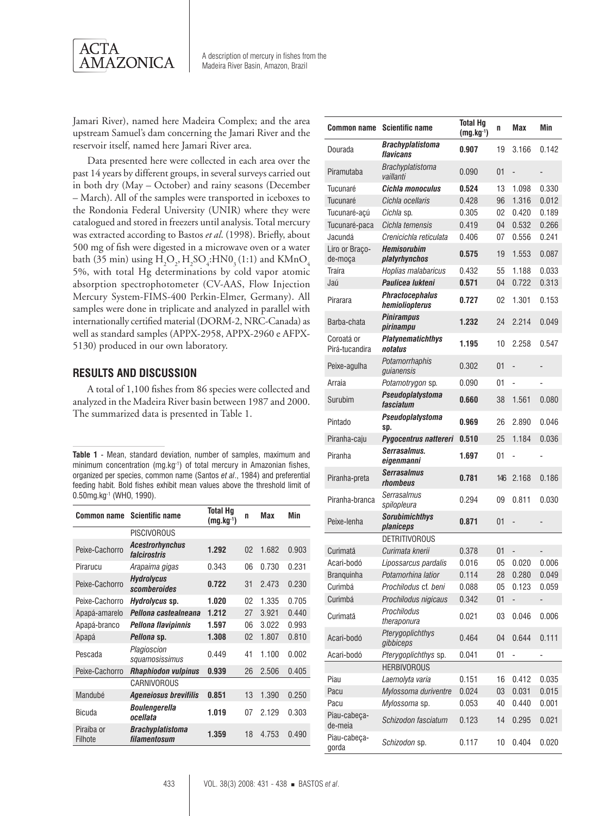

Jamari River), named here Madeira Complex; and the area upstream Samuel's dam concerning the Jamari River and the reservoir itself, named here Jamari River area.

Data presented here were collected in each area over the past 14 years by different groups, in several surveys carried out in both dry (May – October) and rainy seasons (December – March). All of the samples were transported in iceboxes to the Rondonia Federal University (UNIR) where they were catalogued and stored in freezers until analysis. Total mercury was extracted according to Bastos *et al*. (1998). Briefly, about 500 mg of fish were digested in a microwave oven or a water bath (35 min) using  $H_2O_2$ ,  $H_2SO_4$ :HN0<sub>3</sub> (1:1) and KMnO<sub>4</sub> 5%, with total Hg determinations by cold vapor atomic absorption spectrophotometer (CV-AAS, Flow Injection Mercury System-FIMS-400 Perkin-Elmer, Germany). All samples were done in triplicate and analyzed in parallel with internationally certified material (DORM-2, NRC-Canada) as well as standard samples (APPX-2958, APPX-2960 e AFPX-5130) produced in our own laboratory.

#### **Results and Discussion**

A total of 1,100 fishes from 86 species were collected and analyzed in the Madeira River basin between 1987 and 2000. The summarized data is presented in Table 1.

**Table 1** - Mean, standard deviation, number of samples, maximum and minimum concentration (mg.kg-1) of total mercury in Amazonian fishes, organized per species, common name (Santos *et al*., 1984) and preferential feeding habit. Bold fishes exhibit mean values above the threshold limit of 0.50mg.kg-1 (WHO, 1990).

| Common name           | <b>Scientific name</b>                  | <b>Total Hq</b><br>$(mg.kg^{-1})$ | n              | <b>Max</b> | Min   |
|-----------------------|-----------------------------------------|-----------------------------------|----------------|------------|-------|
|                       | <b>PISCIVOROUS</b>                      |                                   |                |            |       |
| Peixe-Cachorro        | <b>Acestrorhynchus</b><br>falcirostris  | 1.292                             | 02             | 1.682      | 0.903 |
| Pirarucu              | Arapaima gigas                          | 0.343                             | 06             | 0.730      | 0.231 |
| Peixe-Cachorro        | <b>Hydrolycus</b><br>scomberoides       | 0.722                             | 31             | 2.473      | 0.230 |
| Peixe-Cachorro        | Hydrolycus sp.                          | 1.020                             | 0 <sup>2</sup> | 1.335      | 0.705 |
| Apapá-amarelo         | Pellona castealneana                    | 1.212                             | 27             | 3.921      | 0.440 |
| Apapá-branco          | Pellona flavipinnis                     | 1.597                             | 06             | 3.022      | 0.993 |
| Apapá                 | <i>Pellona</i> sp.                      | 1.308                             | 02             | 1.807      | 0.810 |
| Pescada               | Plagioscion<br>squamosissimus           | 0.449                             | 41             | 1.100      | 0.002 |
| Peixe-Cachorro        | <b>Rhaphiodon vulpinus</b>              | 0.939                             | 26             | 2.506      | 0.405 |
|                       | CARNIVOROUS                             |                                   |                |            |       |
| Mandubé               | <b>Ageneiosus brevifilis</b>            | 0.851                             | 13             | 1.390      | 0.250 |
| <b>Bicuda</b>         | Boulengerella<br>ocellata               | 1.019                             | 07             | 2.129      | 0.303 |
| Piraíba or<br>Filhote | <b>Brachyplatistoma</b><br>filamentosum | 1.359                             | 18             | 4.753      | 0.490 |

| <b>Common name</b>           | <b>Scientific name</b>                   | Total Hq<br>$(mg.kg^{-1})$ | n   | Max            | Min   |
|------------------------------|------------------------------------------|----------------------------|-----|----------------|-------|
| Dourada                      | Brachyplatistoma<br>flavicans            | 0.907                      | 19  | 3.166          | 0.142 |
| Piramutaba                   | Brachyplatistoma<br>vaillanti            | 0.090                      | 01  |                |       |
| Tucunaré                     | Cichla monoculus                         | 0.524                      | 13  | 1.098          | 0.330 |
| Tucunaré                     | Cichla ocellaris                         | 0.428                      | 96  | 1.316          | 0.012 |
| Tucunaré-açú                 | <i>Cichla</i> sp.                        | 0.305                      | 02  | 0.420          | 0.189 |
| Tucunaré-paca                | Cichla temensis                          | 0.419                      | 04  | 0.532          | 0.266 |
| Jacundá                      | Crenicichla reticulata                   | 0.406                      | 07  | 0.556          | 0.241 |
| Liro or Braco-<br>de-moça    | <b>Hemisorubim</b><br>platyrhynchos      | 0.575                      | 19  | 1.553          | 0.087 |
| Traíra                       | Hoplias malabaricus                      | 0.432                      | 55  | 1.188          | 0.033 |
| Jaú                          | Paulicea lukteni                         | 0.571                      | 04  | 0.722          | 0.313 |
| Pirarara                     | <b>Phractocephalus</b><br>hemioliopterus | 0.727                      | 02  | 1.301          | 0.153 |
| Barba-chata                  | Pinirampus<br>pirinampu                  | 1.232                      | 24  | 2.214          | 0.049 |
| Coroatá or<br>Pirá-tucandira | Platynematichthys<br>notatus             | 1.195                      | 10  | 2.258          | 0.547 |
| Peixe-agulha                 | Potamorrhaphis<br>guianensis             | 0.302                      | 01  | ÷,             | -     |
| Arraia                       | Potamotrygon sp.                         | 0.090                      | 01  | ÷,             | -     |
| Surubim                      | Pseudoplatystoma<br>fasciatum            | 0.660                      | 38  | 1.561          | 0.080 |
| Pintado                      | Pseudoplatystoma<br>Sp.                  | 0.969                      | 26  | 2.890          | 0.046 |
| Piranha-caju                 | Pygocentrus nattereri                    | 0.510                      | 25  | 1.184          | 0.036 |
| Piranha                      | Serrasalmus.<br>eigenmanni               | 1.697                      | 01  |                |       |
| Piranha-preta                | <b>Serrasalmus</b><br>rhombeus           | 0.781                      | 146 | 2.168          | 0.186 |
| Piranha-branca               | <b>Serrasalmus</b><br>spilopleura        | 0.294                      | 09  | 0.811          | 0.030 |
| Peixe-lenha                  | <b>Sorubimichthys</b><br>planiceps       | 0.871                      | 01  | $\overline{a}$ |       |
|                              | <b>DETRITIVOROUS</b>                     |                            |     |                |       |
| Curimatã                     | Curimata knerii                          | 0.378                      | 01  |                |       |
| Acari-bodó                   | Lipossarcus pardalis                     | 0.016                      | 05  | 0.020          | 0.006 |
| <b>Branquinha</b>            | Potamorhina latior                       | 0.114                      | 28  | 0.280          | 0.049 |
| Curimbá                      | Prochilodus cf. beni                     | 0.088                      | 05  | 0.123          | 0.059 |
| Curimbá                      | Prochilodus nigicaus                     | 0.342                      | 01  |                | -     |
| Curimatã                     | Prochilodus<br>theraponura               | 0.021                      | 03  | 0.046          | 0.006 |
| Acari-bodó                   | Pterygoplichthys<br>gibbiceps            | 0.464                      | 04  | 0.644          | 0.111 |
| Acari-bodó                   | Pterygoplichthys sp.                     | 0.041                      | 01  |                |       |
|                              | <b>HERBIVOROUS</b>                       |                            |     |                |       |
| Piau                         | Laemolyta varia                          | 0.151                      | 16  | 0.412          | 0.035 |
| Pacu                         | Mylossoma duriventre                     | 0.024                      | 03  | 0.031          | 0.015 |
| Pacu                         | Mylossoma sp.                            | 0.053                      | 40  | 0.440          | 0.001 |
| Piau-cabeça-<br>de-meia      | Schizodon fasciatum                      | 0.123                      | 14  | 0.295          | 0.021 |
| Piau-cabeça-<br>gorda        | Schizodon sp.                            | 0.117                      | 10  | 0.404          | 0.020 |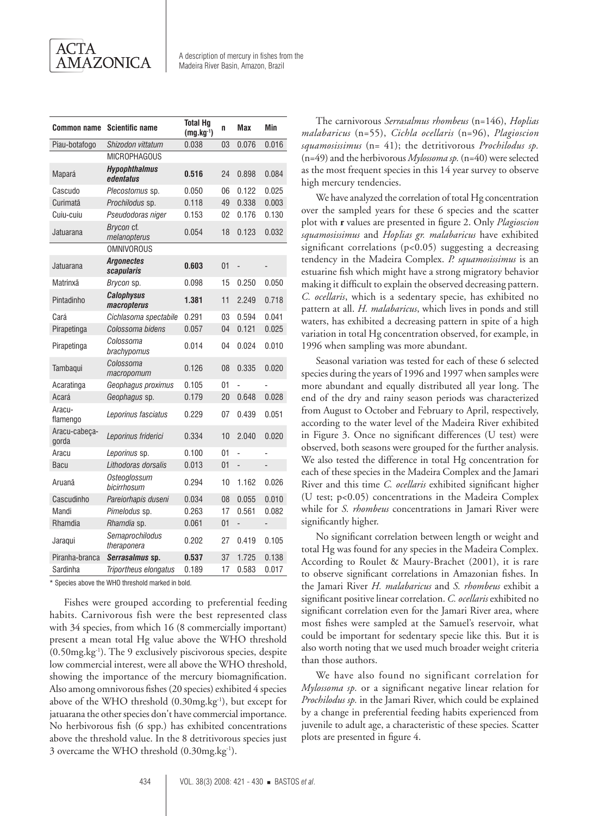| <b>Common name</b>     | <b>Scientific name</b>            | <b>Total Hg</b><br>$(mg.kg^{-1})$ | n  | <b>Max</b>     | Min   |
|------------------------|-----------------------------------|-----------------------------------|----|----------------|-------|
| Piau-botafogo          | Shizodon vittatum                 | 0.038                             | 03 | 0.076          | 0.016 |
|                        | <b>MICROPHAGOUS</b>               |                                   |    |                |       |
| Mapará                 | <b>Hypophthalmus</b><br>edentatus | 0.516                             | 24 | 0.898          | 0.084 |
| Cascudo                | Plecostomus sp.                   | 0.050                             | 06 | 0.122          | 0.025 |
| Curimatã               | Prochilodus sp.                   | 0.118                             | 49 | 0.338          | 0.003 |
| Cuiu-cuiu              | Pseudodoras niger                 | 0.153                             | 02 | 0.176          | 0.130 |
| Jatuarana              | Brycon cf.<br>melanopterus        | 0.054                             | 18 | 0.123          | 0.032 |
|                        | <b>OMNIVOROUS</b>                 |                                   |    |                |       |
| Jatuarana              | <b>Argonectes</b><br>scapularis   | 0.603                             | 01 | $\overline{a}$ |       |
| Matrinxã               | Brycon sp.                        | 0.098                             | 15 | 0.250          | 0.050 |
| Pintadinho             | <b>Calophysus</b><br>macropterus  | 1.381                             | 11 | 2.249          | 0.718 |
| Cará                   | Cichlasoma spectabile             | 0.291                             | 03 | 0.594          | 0.041 |
| Pirapetinga            | Colossoma bidens                  | 0.057                             | 04 | 0.121          | 0.025 |
| Pirapetinga            | Colossoma<br>brachypomus          | 0.014                             | 04 | 0.024          | 0.010 |
| Tambaqui               | Colossoma<br>macropomum           | 0.126                             | 08 | 0.335          | 0.020 |
| Acaratinga             | Geophagus proximus                | 0.105                             | 01 |                |       |
| Acará                  | Geophagus sp.                     | 0.179                             | 20 | 0.648          | 0.028 |
| Aracu-<br>flamengo     | Leporinus fasciatus               | 0.229                             | 07 | 0.439          | 0.051 |
| Aracu-cabeça-<br>gorda | Leporinus friderici               | 0.334                             | 10 | 2.040          | 0.020 |
| Aracu                  | Leporinus sp.                     | 0.100                             | 01 |                |       |
| <b>Bacu</b>            | Lithodoras dorsalis               | 0.013                             | 01 | $\overline{a}$ |       |
| Aruanã                 | Osteoglossum<br>bicirrhosum       | 0.294                             | 10 | 1.162          | 0.026 |
| Cascudinho             | Pareiorhapis duseni               | 0.034                             | 08 | 0.055          | 0.010 |
| Mandi                  | Pimelodus sp.                     | 0.263                             | 17 | 0.561          | 0.082 |
| Rhamdia                | Rhamdia sp.                       | 0.061                             | 01 | $\overline{a}$ |       |
| Jaraqui                | Semaprochilodus<br>theraponera    | 0.202                             | 27 | 0.419          | 0.105 |
| Piranha-branca         | Serrasalmus sp.                   | 0.537                             | 37 | 1.725          | 0.138 |
| Sardinha               | Triportheus elongatus             | 0.189                             | 17 | 0.583          | 0.017 |

\* Species above the WHO threshold marked in bold.

Fishes were grouped according to preferential feeding habits. Carnivorous fish were the best represented class with 34 species, from which 16 (8 commercially important) present a mean total Hg value above the WHO threshold (0.50mg.kg-1). The 9 exclusively piscivorous species, despite low commercial interest, were all above the WHO threshold, showing the importance of the mercury biomagnification. Also among omnivorous fishes (20 species) exhibited 4 species above of the WHO threshold (0.30mg.kg-1), but except for jatuarana the other species don't have commercial importance. No herbivorous fish (6 spp.) has exhibited concentrations above the threshold value. In the 8 detritivorous species just 3 overcame the WHO threshold (0.30mg.kg<sup>-1</sup>).

The carnivorous *Serrasalmus rhombeus* (n=146), *Hoplias malabaricus* (n=55), *Cichla ocellaris* (n=96), *Plagioscion squamosissimus* (n= 41); the detritivorous *Prochilodus sp.* (n=49) and the herbivorous *Mylossoma sp.* (n=40) were selected as the most frequent species in this 14 year survey to observe high mercury tendencies.

We have analyzed the correlation of total Hg concentration over the sampled years for these 6 species and the scatter plot with **r** values are presented in figure 2. Only *Plagioscion squamosissimus* and *Hoplias gr. malabaricus* have exhibited significant correlations (p<0.05) suggesting a decreasing tendency in the Madeira Complex. *P. squamosissimus* is an estuarine fish which might have a strong migratory behavior making it difficult to explain the observed decreasing pattern. *C. ocellaris*, which is a sedentary specie, has exhibited no pattern at all. *H. malabaricus*, which lives in ponds and still waters, has exhibited a decreasing pattern in spite of a high variation in total Hg concentration observed, for example, in 1996 when sampling was more abundant.

Seasonal variation was tested for each of these 6 selected species during the years of 1996 and 1997 when samples were more abundant and equally distributed all year long. The end of the dry and rainy season periods was characterized from August to October and February to April, respectively, according to the water level of the Madeira River exhibited in Figure 3. Once no significant differences (U test) were observed, both seasons were grouped for the further analysis. We also tested the difference in total Hg concentration for each of these species in the Madeira Complex and the Jamari River and this time *C. ocellaris* exhibited significant higher (U test; p<0.05) concentrations in the Madeira Complex while for *S. rhombeus* concentrations in Jamari River were significantly higher.

No significant correlation between length or weight and total Hg was found for any species in the Madeira Complex. According to Roulet & Maury-Brachet (2001), it is rare to observe significant correlations in Amazonian fishes. In the Jamari River *H. malabaricus* and *S. rhombeus* exhibit a significant positive linear correlation. *C. ocellaris* exhibited no significant correlation even for the Jamari River area, where most fishes were sampled at the Samuel's reservoir, what could be important for sedentary specie like this. But it is also worth noting that we used much broader weight criteria than those authors.

We have also found no significant correlation for *Mylossoma sp.* or a significant negative linear relation for *Prochilodus sp.* in the Jamari River, which could be explained by a change in preferential feeding habits experienced from juvenile to adult age, a characteristic of these species*.* Scatter plots are presented in figure 4.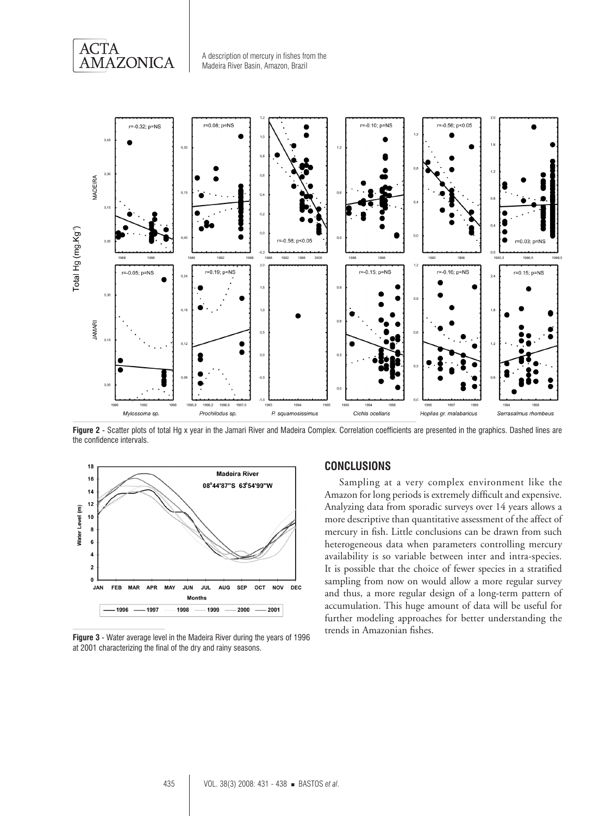**ACTA** AMAZONICA



**Figure 2** - Scatter plots of total Hg x year in the Jamari River and Madeira Complex. Correlation coefficients are presented in the graphics. Dashed lines are the confidence intervals.



**Figure 3** - Water average level in the Madeira River during the years of 1996 at 2001 characterizing the final of the dry and rainy seasons.

### **ConclusionS**

Sampling at a very complex environment like the Amazon for long periods is extremely difficult and expensive. Analyzing data from sporadic surveys over 14 years allows a more descriptive than quantitative assessment of the affect of mercury in fish. Little conclusions can be drawn from such heterogeneous data when parameters controlling mercury availability is so variable between inter and intra-species. It is possible that the choice of fewer species in a stratified sampling from now on would allow a more regular survey and thus, a more regular design of a long-term pattern of accumulation. This huge amount of data will be useful for further modeling approaches for better understanding the trends in Amazonian fishes.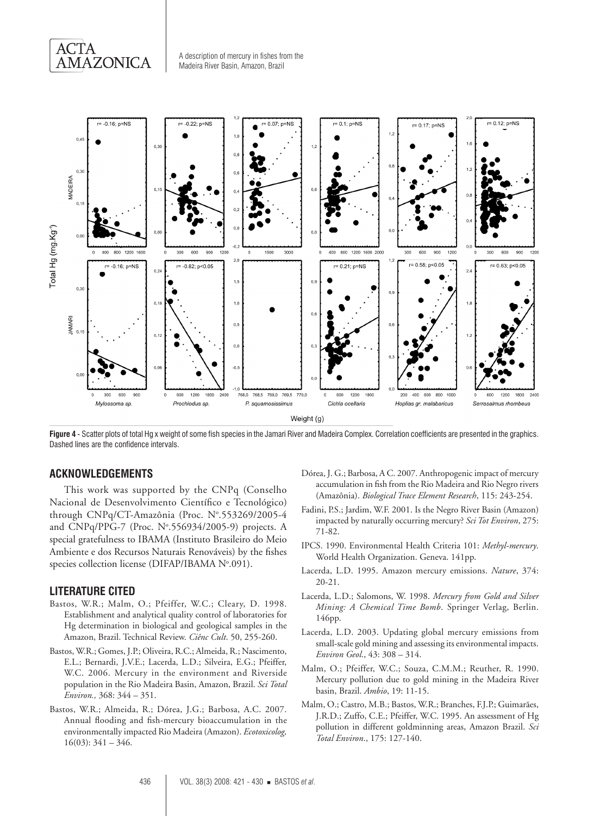



**Figure 4** - Scatter plots of total Hg x weight of some fish species in the Jamari River and Madeira Complex. Correlation coefficients are presented in the graphics. Dashed lines are the confidence intervals.

## **ACKNOWLEDGEMENTS**

This work was supported by the CNPq (Conselho Nacional de Desenvolvimento Científico e Tecnológico) through CNPq/CT-Amazônia (Proc. Nº.553269/2005-4 and CNPq/PPG-7 (Proc. Nº.556934/2005-9) projects. A special gratefulness to IBAMA (Instituto Brasileiro do Meio Ambiente e dos Recursos Naturais Renováveis) by the fishes species collection license (DIFAP/IBAMA Nº.091).

#### **LITERATURE CITED**

- Bastos, W.R.; Malm, O.; Pfeiffer, W.C.; Cleary, D. 1998. Establishment and analytical quality control of laboratories for Hg determination in biological and geological samples in the Amazon, Brazil. Technical Review. *Ciênc Cult*. 50, 255-260.
- Bastos, W.R.; Gomes, J.P.; Oliveira, R.C.; Almeida, R.; Nascimento, E.L.; Bernardi, J.V.E.; Lacerda, L.D.; Silveira, E.G.; Pfeiffer, W.C. 2006. Mercury in the environment and Riverside population in the Rio Madeira Basin, Amazon, Brazil. *Sci Total Environ.,* 368: 344 – 351.
- Bastos, W.R.; Almeida, R.; Dórea, J.G.; Barbosa, A.C. 2007. Annual flooding and fish-mercury bioaccumulation in the environmentally impacted Rio Madeira (Amazon). *Ecotoxicolog,*  $16(03): 341 - 346.$
- Dórea, J. G.; Barbosa, A C. 2007. Anthropogenic impact of mercury accumulation in fish from the Rio Madeira and Rio Negro rivers (Amazônia). *Biological Trace Element Research*, 115: 243-254.
- Fadini, P.S.; Jardim, W.F. 2001. Is the Negro River Basin (Amazon) impacted by naturally occurring mercury? *Sci Tot Environ*, 275: 71-82.
- IPCS. 1990. Environmental Health Criteria 101: *Methyl-mercury*. World Health Organization. Geneva. 141pp.
- Lacerda, L.D. 1995. Amazon mercury emissions. *Nature*, 374: 20-21.
- Lacerda, L.D.; Salomons, W. 1998. *Mercury from Gold and Silver Mining: A Chemical Time Bomb*. Springer Verlag, Berlin. 146pp.
- Lacerda, L.D. 2003. Updating global mercury emissions from small-scale gold mining and assessing its environmental impacts. *Environ Geol*., 43: 308 – 314.
- Malm, O.; Pfeiffer, W.C.; Souza, C.M.M.; Reuther, R. 1990. Mercury pollution due to gold mining in the Madeira River basin, Brazil. *Ambio*, 19: 11-15.
- Malm, O.; Castro, M.B.; Bastos, W.R.; Branches, F.J.P.; Guimarães, J.R.D.; Zuffo, C.E.; Pfeiffer, W.C. 1995. An assessment of Hg pollution in different goldminning areas, Amazon Brazil. *Sci Total Environ*., 175: 127-140.